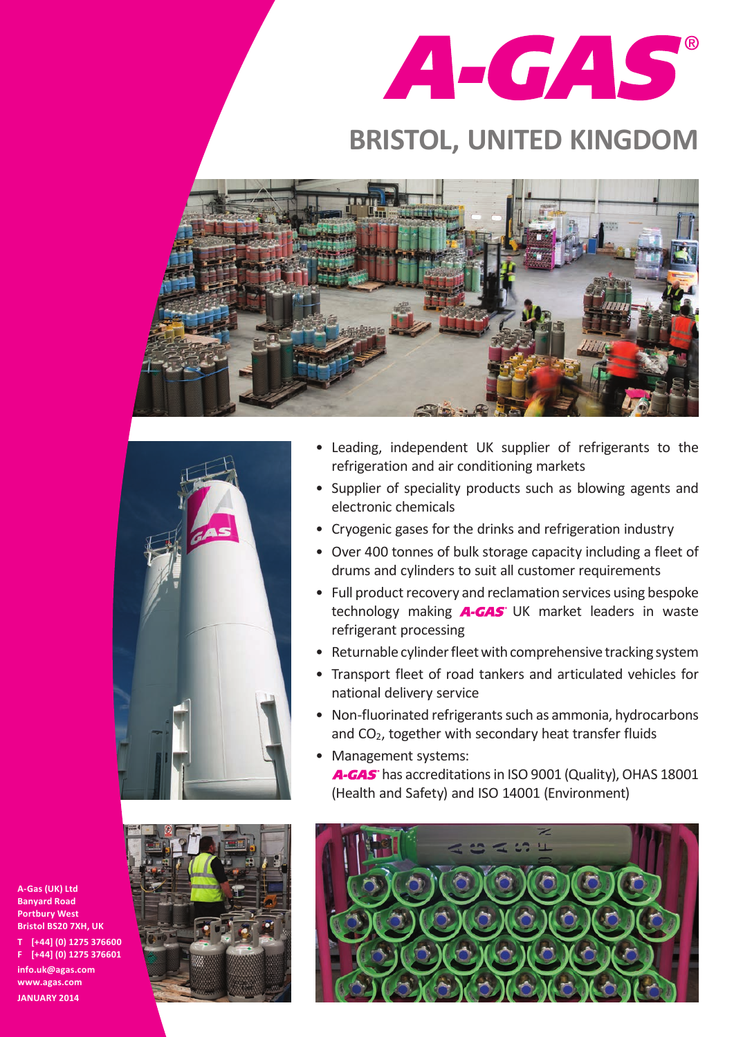

## **BRISTOL, UNITED KINGDOM**





- • Leading, independent UK supplier of refrigerants to the refrigeration and air conditioning markets
- Supplier of speciality products such as blowing agents and electronic chemicals
- Cryogenic gases for the drinks and refrigeration industry
- Over 400 tonnes of bulk storage capacity including a fleet of drums and cylinders to suit all customer requirements
- Full product recovery and reclamation services using bespoke technology making  $A-GAS$  UK market leaders in waste refrigerant processing
- Returnable cylinder fleet with comprehensive tracking system
- Transport fleet of road tankers and articulated vehicles for national delivery service
- Non-fluorinated refrigerants such as ammonia, hydrocarbons and CO<sub>2</sub>, together with secondary heat transfer fluids
- Management systems: A-GAS has accreditations in ISO 9001 (Quality), OHAS 18001 (Health and Safety) and ISO 14001 (Environment)



**A-Gas (UK) Ltd Banyard Road Portbury West Bristol BS20 7XH, UK T [+44] (0) 1275 376600 F [+44] (0) 1275 376601 info.uk@agas.com www.agas.com JANUARY 2014**